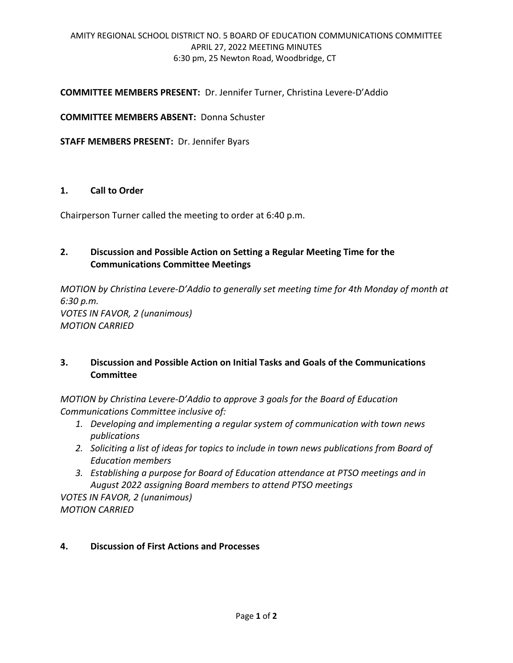#### **COMMITTEE MEMBERS PRESENT:** Dr. Jennifer Turner, Christina Levere-D'Addio

**COMMITTEE MEMBERS ABSENT:** Donna Schuster

**STAFF MEMBERS PRESENT:** Dr. Jennifer Byars

#### **1. Call to Order**

Chairperson Turner called the meeting to order at 6:40 p.m.

## **2. Discussion and Possible Action on Setting a Regular Meeting Time for the Communications Committee Meetings**

*MOTION by Christina Levere-D'Addio to generally set meeting time for 4th Monday of month at 6:30 p.m. VOTES IN FAVOR, 2 (unanimous) MOTION CARRIED*

# **3. Discussion and Possible Action on Initial Tasks and Goals of the Communications Committee**

*MOTION by Christina Levere-D'Addio to approve 3 goals for the Board of Education Communications Committee inclusive of:*

- *1. Developing and implementing a regular system of communication with town news publications*
- *2. Soliciting a list of ideas for topics to include in town news publications from Board of Education members*
- *3. Establishing a purpose for Board of Education attendance at PTSO meetings and in August 2022 assigning Board members to attend PTSO meetings*

*VOTES IN FAVOR, 2 (unanimous) MOTION CARRIED*

## **4. Discussion of First Actions and Processes**